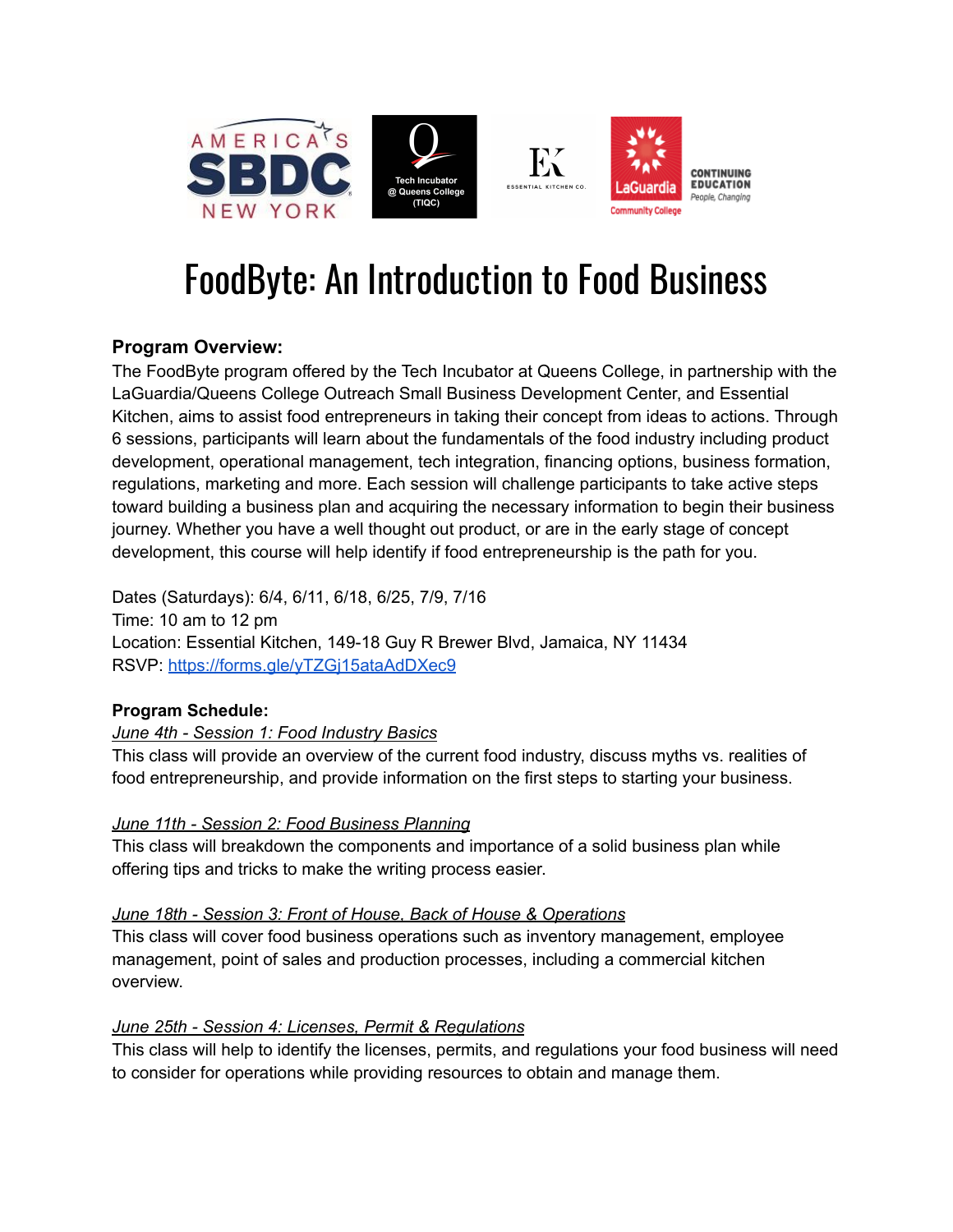

# FoodByte: An Introduction to Food Business

## **Program Overview:**

The FoodByte program offered by the Tech Incubator at Queens College, in partnership with the LaGuardia/Queens College Outreach Small Business Development Center, and Essential Kitchen, aims to assist food entrepreneurs in taking their concept from ideas to actions. Through 6 sessions, participants will learn about the fundamentals of the food industry including product development, operational management, tech integration, financing options, business formation, regulations, marketing and more. Each session will challenge participants to take active steps toward building a business plan and acquiring the necessary information to begin their business journey. Whether you have a well thought out product, or are in the early stage of concept development, this course will help identify if food entrepreneurship is the path for you.

Dates (Saturdays): 6/4, 6/11, 6/18, 6/25, 7/9, 7/16 Time: 10 am to 12 pm Location: Essential Kitchen, 149-18 Guy R Brewer Blvd, Jamaica, NY 11434 RSVP: <https://forms.gle/yTZGj15ataAdDXec9>

### **Program Schedule:**

#### *June 4th - Session 1: Food Industry Basics*

This class will provide an overview of the current food industry, discuss myths vs. realities of food entrepreneurship, and provide information on the first steps to starting your business.

#### *June 11th - Session 2: Food Business Planning*

This class will breakdown the components and importance of a solid business plan while offering tips and tricks to make the writing process easier.

#### *June 18th - Session 3: Front of House, Back of House & Operations*

This class will cover food business operations such as inventory management, employee management, point of sales and production processes, including a commercial kitchen overview.

#### *June 25th - Session 4: Licenses, Permit & Regulations*

This class will help to identify the licenses, permits, and regulations your food business will need to consider for operations while providing resources to obtain and manage them.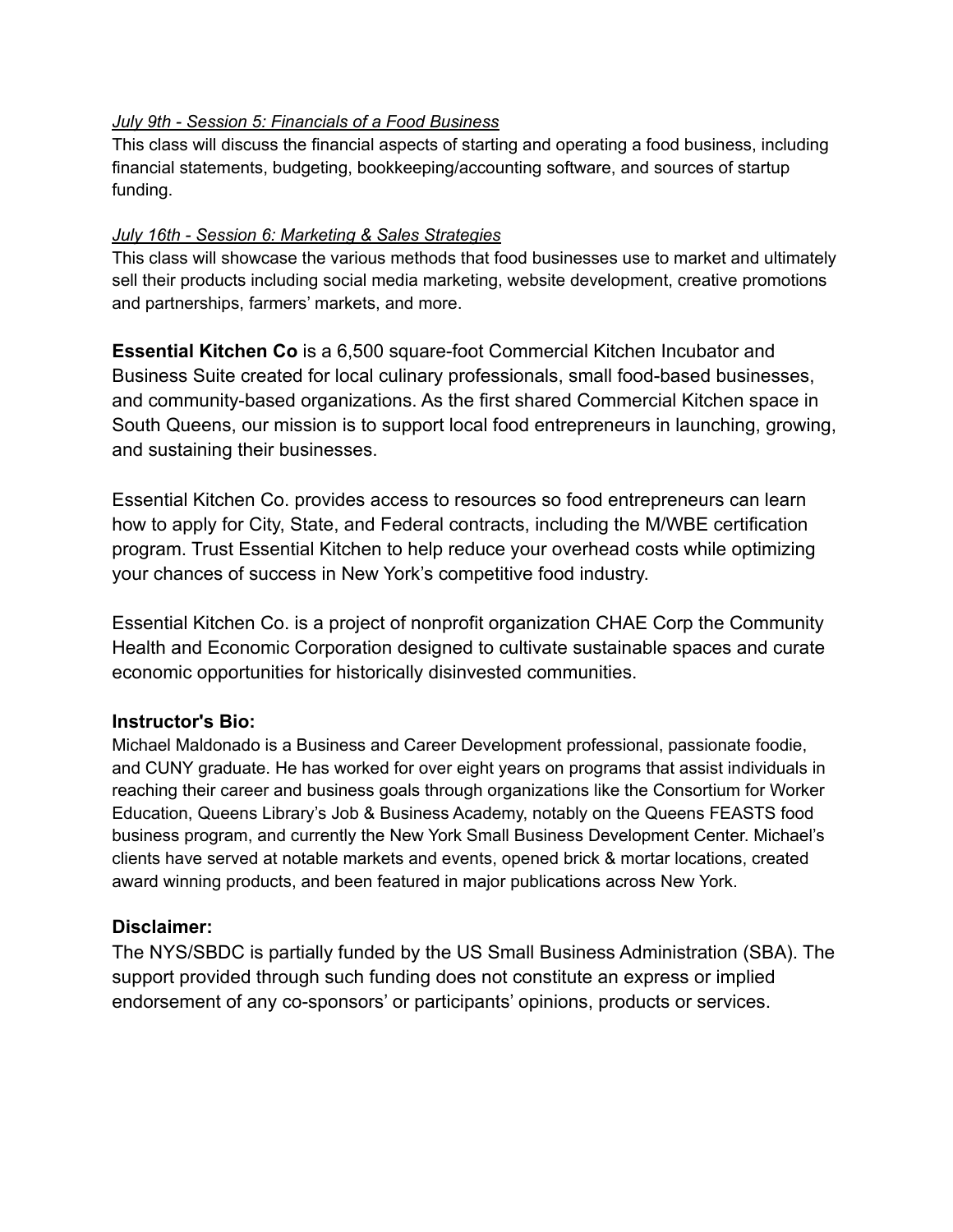#### *July 9th - Session 5: Financials of a Food Business*

This class will discuss the financial aspects of starting and operating a food business, including financial statements, budgeting, bookkeeping/accounting software, and sources of startup funding.

#### *July 16th - Session 6: Marketing & Sales Strategies*

This class will showcase the various methods that food businesses use to market and ultimately sell their products including social media marketing, website development, creative promotions and partnerships, farmers' markets, and more.

**Essential Kitchen Co** is a 6,500 square-foot Commercial Kitchen Incubator and Business Suite created for local culinary professionals, small food-based businesses, and community-based organizations. As the first shared Commercial Kitchen space in South Queens, our mission is to support local food entrepreneurs in launching, growing, and sustaining their businesses.

Essential Kitchen Co. provides access to resources so food entrepreneurs can learn how to apply for City, State, and Federal contracts, including the M/WBE certification program. Trust Essential Kitchen to help reduce your overhead costs while optimizing your chances of success in New York's competitive food industry.

Essential Kitchen Co. is a project of nonprofit organization CHAE Corp the Community Health and Economic Corporation designed to cultivate sustainable spaces and curate economic opportunities for historically disinvested communities.

#### **Instructor's Bio:**

Michael Maldonado is a Business and Career Development professional, passionate foodie, and CUNY graduate. He has worked for over eight years on programs that assist individuals in reaching their career and business goals through organizations like the Consortium for Worker Education, Queens Library's Job & Business Academy, notably on the Queens FEASTS food business program, and currently the New York Small Business Development Center. Michael's clients have served at notable markets and events, opened brick & mortar locations, created award winning products, and been featured in major publications across New York.

#### **Disclaimer:**

The NYS/SBDC is partially funded by the US Small Business Administration (SBA). The support provided through such funding does not constitute an express or implied endorsement of any co-sponsors' or participants' opinions, products or services.